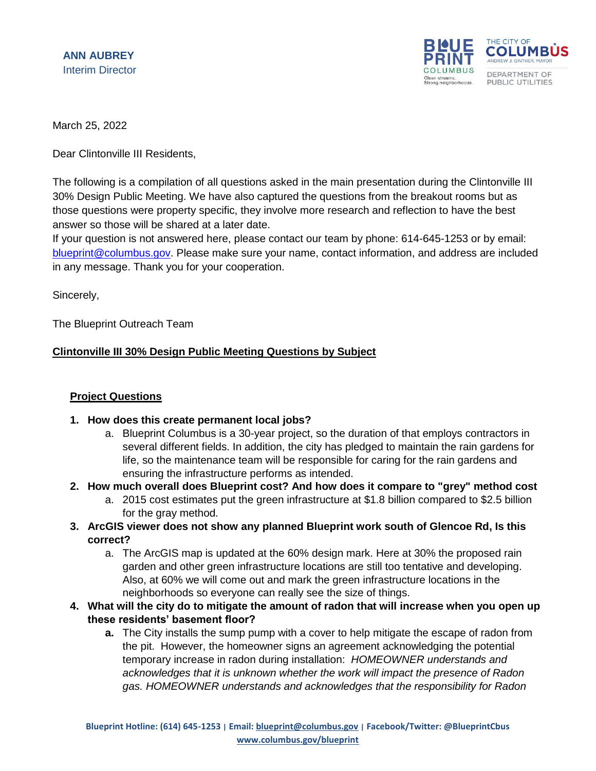

#### March 25, 2022

Dear Clintonville III Residents,

The following is a compilation of all questions asked in the main presentation during the Clintonville III 30% Design Public Meeting. We have also captured the questions from the breakout rooms but as those questions were property specific, they involve more research and reflection to have the best answer so those will be shared at a later date.

If your question is not answered here, please contact our team by phone: 614-645-1253 or by email: [blueprint@columbus.gov.](mailto:blueprint@columbus.gov) Please make sure your name, contact information, and address are included in any message. Thank you for your cooperation.

Sincerely,

The Blueprint Outreach Team

#### **Clintonville III 30% Design Public Meeting Questions by Subject**

#### **Project Questions**

- **1. How does this create permanent local jobs?**
	- a. Blueprint Columbus is a 30-year project, so the duration of that employs contractors in several different fields. In addition, the city has pledged to maintain the rain gardens for life, so the maintenance team will be responsible for caring for the rain gardens and ensuring the infrastructure performs as intended.
- **2. How much overall does Blueprint cost? And how does it compare to "grey" method cost**
	- a. 2015 cost estimates put the green infrastructure at \$1.8 billion compared to \$2.5 billion for the gray method.
- **3. ArcGIS viewer does not show any planned Blueprint work south of Glencoe Rd, Is this correct?**
	- a. The ArcGIS map is updated at the 60% design mark. Here at 30% the proposed rain garden and other green infrastructure locations are still too tentative and developing. Also, at 60% we will come out and mark the green infrastructure locations in the neighborhoods so everyone can really see the size of things.
- **4. What will the city do to mitigate the amount of radon that will increase when you open up these residents' basement floor?**
	- **a.** The City installs the sump pump with a cover to help mitigate the escape of radon from the pit. However, the homeowner signs an agreement acknowledging the potential temporary increase in radon during installation: *HOMEOWNER understands and acknowledges that it is unknown whether the work will impact the presence of Radon gas. HOMEOWNER understands and acknowledges that the responsibility for Radon*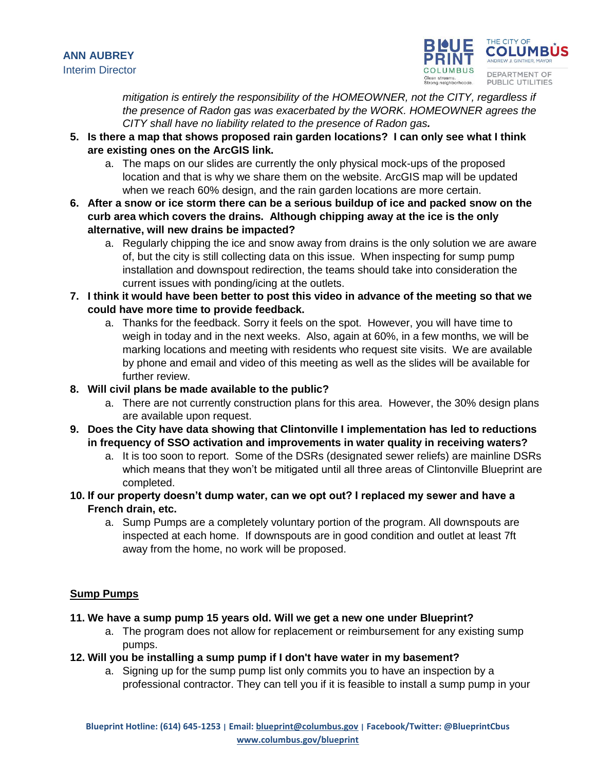

*mitigation is entirely the responsibility of the HOMEOWNER, not the CITY, regardless if the presence of Radon gas was exacerbated by the WORK. HOMEOWNER agrees the CITY shall have no liability related to the presence of Radon gas.*

- **5. Is there a map that shows proposed rain garden locations? I can only see what I think are existing ones on the ArcGIS link.** 
	- a. The maps on our slides are currently the only physical mock-ups of the proposed location and that is why we share them on the website. ArcGIS map will be updated when we reach 60% design, and the rain garden locations are more certain.
- **6. After a snow or ice storm there can be a serious buildup of ice and packed snow on the curb area which covers the drains. Although chipping away at the ice is the only alternative, will new drains be impacted?**
	- a. Regularly chipping the ice and snow away from drains is the only solution we are aware of, but the city is still collecting data on this issue. When inspecting for sump pump installation and downspout redirection, the teams should take into consideration the current issues with ponding/icing at the outlets.
- **7. I think it would have been better to post this video in advance of the meeting so that we could have more time to provide feedback.**
	- a. Thanks for the feedback. Sorry it feels on the spot. However, you will have time to weigh in today and in the next weeks. Also, again at 60%, in a few months, we will be marking locations and meeting with residents who request site visits. We are available by phone and email and video of this meeting as well as the slides will be available for further review.

# **8. Will civil plans be made available to the public?**

- a. There are not currently construction plans for this area. However, the 30% design plans are available upon request.
- **9. Does the City have data showing that Clintonville I implementation has led to reductions in frequency of SSO activation and improvements in water quality in receiving waters?**
	- a. It is too soon to report. Some of the DSRs (designated sewer reliefs) are mainline DSRs which means that they won't be mitigated until all three areas of Clintonville Blueprint are completed.
- **10. If our property doesn't dump water, can we opt out? I replaced my sewer and have a French drain, etc.**
	- a. Sump Pumps are a completely voluntary portion of the program. All downspouts are inspected at each home. If downspouts are in good condition and outlet at least 7ft away from the home, no work will be proposed.

# **Sump Pumps**

# **11. We have a sump pump 15 years old. Will we get a new one under Blueprint?**

- a. The program does not allow for replacement or reimbursement for any existing sump pumps.
- **12. Will you be installing a sump pump if I don't have water in my basement?**
	- a. Signing up for the sump pump list only commits you to have an inspection by a professional contractor. They can tell you if it is feasible to install a sump pump in your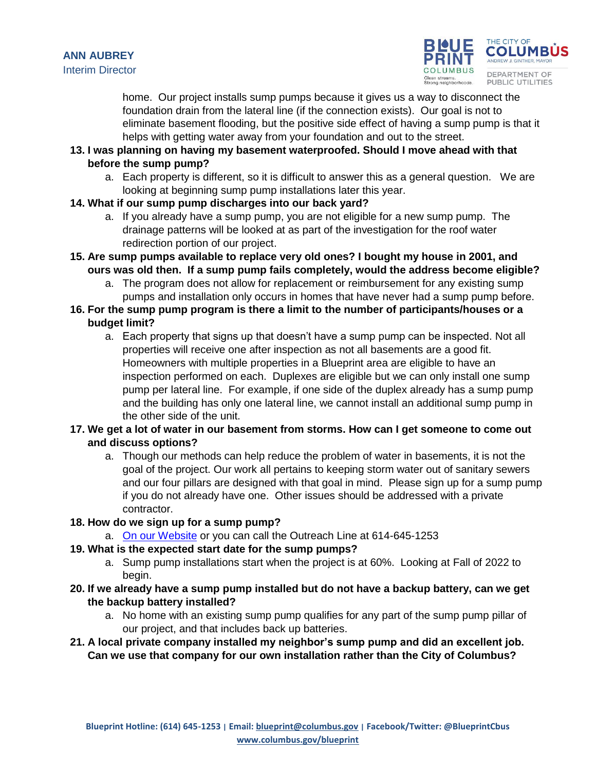

home. Our project installs sump pumps because it gives us a way to disconnect the foundation drain from the lateral line (if the connection exists). Our goal is not to eliminate basement flooding, but the positive side effect of having a sump pump is that it helps with getting water away from your foundation and out to the street.

- **13. I was planning on having my basement waterproofed. Should I move ahead with that before the sump pump?**
	- a. Each property is different, so it is difficult to answer this as a general question. We are looking at beginning sump pump installations later this year.
- **14. What if our sump pump discharges into our back yard?**
	- a. If you already have a sump pump, you are not eligible for a new sump pump. The drainage patterns will be looked at as part of the investigation for the roof water redirection portion of our project.
- **15. Are sump pumps available to replace very old ones? I bought my house in 2001, and ours was old then. If a sump pump fails completely, would the address become eligible?**
	- a. The program does not allow for replacement or reimbursement for any existing sump pumps and installation only occurs in homes that have never had a sump pump before.
- **16. For the sump pump program is there a limit to the number of participants/houses or a budget limit?**
	- a. Each property that signs up that doesn't have a sump pump can be inspected. Not all properties will receive one after inspection as not all basements are a good fit. Homeowners with multiple properties in a Blueprint area are eligible to have an inspection performed on each. Duplexes are eligible but we can only install one sump pump per lateral line. For example, if one side of the duplex already has a sump pump and the building has only one lateral line, we cannot install an additional sump pump in the other side of the unit.

# **17. We get a lot of water in our basement from storms. How can I get someone to come out and discuss options?**

a. Though our methods can help reduce the problem of water in basements, it is not the goal of the project. Our work all pertains to keeping storm water out of sanitary sewers and our four pillars are designed with that goal in mind. Please sign up for a sump pump if you do not already have one. Other issues should be addressed with a private contractor.

# **18. How do we sign up for a sump pump?**

a. [On our Website](https://blueprintneighborhoods.com/the-four-pillars/sump-pump/) or you can call the Outreach Line at 614-645-1253

# **19. What is the expected start date for the sump pumps?**

- a. Sump pump installations start when the project is at 60%. Looking at Fall of 2022 to begin.
- **20. If we already have a sump pump installed but do not have a backup battery, can we get the backup battery installed?**
	- a. No home with an existing sump pump qualifies for any part of the sump pump pillar of our project, and that includes back up batteries.
- **21. A local private company installed my neighbor's sump pump and did an excellent job. Can we use that company for our own installation rather than the City of Columbus?**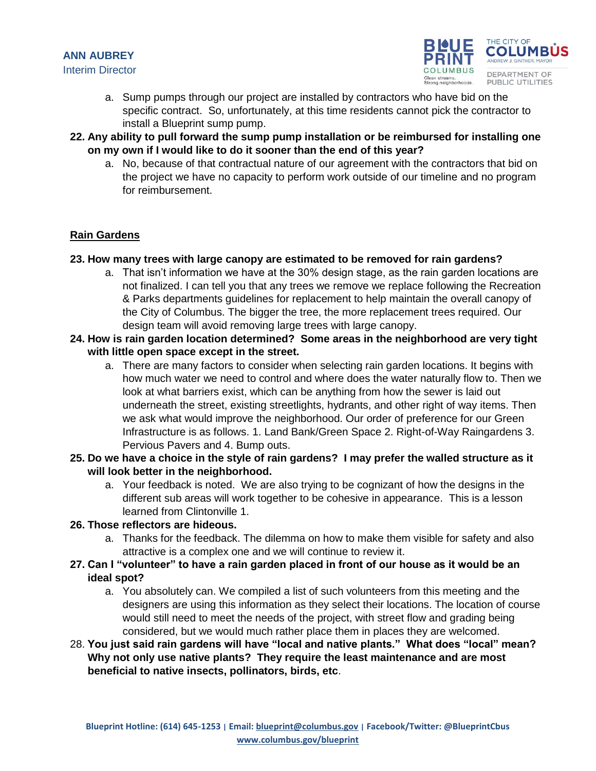

- a. Sump pumps through our project are installed by contractors who have bid on the specific contract. So, unfortunately, at this time residents cannot pick the contractor to install a Blueprint sump pump.
- **22. Any ability to pull forward the sump pump installation or be reimbursed for installing one on my own if I would like to do it sooner than the end of this year?**
	- a. No, because of that contractual nature of our agreement with the contractors that bid on the project we have no capacity to perform work outside of our timeline and no program for reimbursement.

# **Rain Gardens**

#### **23. How many trees with large canopy are estimated to be removed for rain gardens?**

- a. That isn't information we have at the 30% design stage, as the rain garden locations are not finalized. I can tell you that any trees we remove we replace following the Recreation & Parks departments guidelines for replacement to help maintain the overall canopy of the City of Columbus. The bigger the tree, the more replacement trees required. Our design team will avoid removing large trees with large canopy.
- **24. How is rain garden location determined? Some areas in the neighborhood are very tight with little open space except in the street.**
	- a. There are many factors to consider when selecting rain garden locations. It begins with how much water we need to control and where does the water naturally flow to. Then we look at what barriers exist, which can be anything from how the sewer is laid out underneath the street, existing streetlights, hydrants, and other right of way items. Then we ask what would improve the neighborhood. Our order of preference for our Green Infrastructure is as follows. 1. Land Bank/Green Space 2. Right-of-Way Raingardens 3. Pervious Pavers and 4. Bump outs.
- **25. Do we have a choice in the style of rain gardens? I may prefer the walled structure as it will look better in the neighborhood.**
	- a. Your feedback is noted. We are also trying to be cognizant of how the designs in the different sub areas will work together to be cohesive in appearance. This is a lesson learned from Clintonville 1.

#### **26. Those reflectors are hideous.**

- a. Thanks for the feedback. The dilemma on how to make them visible for safety and also attractive is a complex one and we will continue to review it.
- **27. Can I "volunteer" to have a rain garden placed in front of our house as it would be an ideal spot?**
	- a. You absolutely can. We compiled a list of such volunteers from this meeting and the designers are using this information as they select their locations. The location of course would still need to meet the needs of the project, with street flow and grading being considered, but we would much rather place them in places they are welcomed.
- 28. **You just said rain gardens will have "local and native plants." What does "local" mean? Why not only use native plants? They require the least maintenance and are most beneficial to native insects, pollinators, birds, etc**.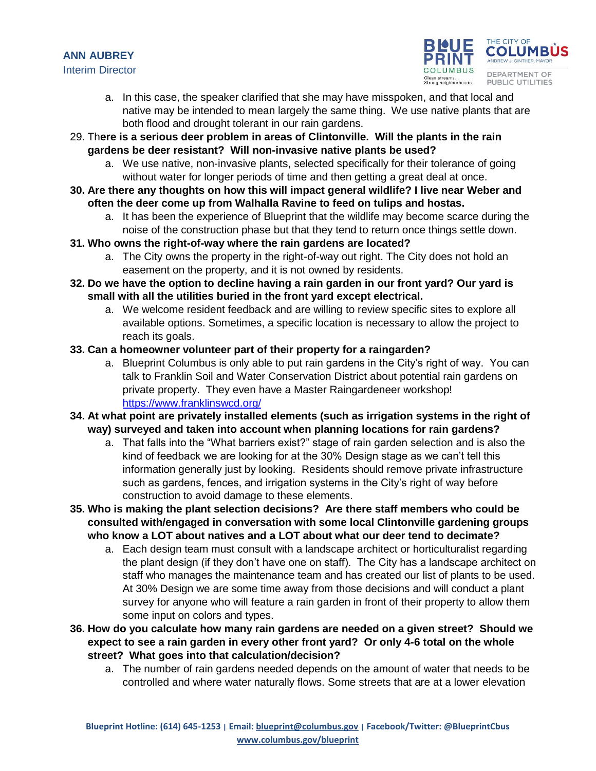#### **ANN AUBREY**

Interim Director



- a. In this case, the speaker clarified that she may have misspoken, and that local and native may be intended to mean largely the same thing. We use native plants that are both flood and drought tolerant in our rain gardens.
- 29. Th**ere is a serious deer problem in areas of Clintonville. Will the plants in the rain gardens be deer resistant? Will non-invasive native plants be used?**
	- a. We use native, non-invasive plants, selected specifically for their tolerance of going without water for longer periods of time and then getting a great deal at once.
- **30. Are there any thoughts on how this will impact general wildlife? I live near Weber and often the deer come up from Walhalla Ravine to feed on tulips and hostas.** 
	- a. It has been the experience of Blueprint that the wildlife may become scarce during the noise of the construction phase but that they tend to return once things settle down.
- **31. Who owns the right-of-way where the rain gardens are located?** 
	- a. The City owns the property in the right-of-way out right. The City does not hold an easement on the property, and it is not owned by residents.
- **32. Do we have the option to decline having a rain garden in our front yard? Our yard is small with all the utilities buried in the front yard except electrical.**
	- a. We welcome resident feedback and are willing to review specific sites to explore all available options. Sometimes, a specific location is necessary to allow the project to reach its goals.
- **33. Can a homeowner volunteer part of their property for a raingarden?**
	- a. Blueprint Columbus is only able to put rain gardens in the City's right of way. You can talk to Franklin Soil and Water Conservation District about potential rain gardens on private property. They even have a Master Raingardeneer workshop! <https://www.franklinswcd.org/>
- **34. At what point are privately installed elements (such as irrigation systems in the right of way) surveyed and taken into account when planning locations for rain gardens?**
	- a. That falls into the "What barriers exist?" stage of rain garden selection and is also the kind of feedback we are looking for at the 30% Design stage as we can't tell this information generally just by looking. Residents should remove private infrastructure such as gardens, fences, and irrigation systems in the City's right of way before construction to avoid damage to these elements.
- **35. Who is making the plant selection decisions? Are there staff members who could be consulted with/engaged in conversation with some local Clintonville gardening groups who know a LOT about natives and a LOT about what our deer tend to decimate?**
	- a. Each design team must consult with a landscape architect or horticulturalist regarding the plant design (if they don't have one on staff). The City has a landscape architect on staff who manages the maintenance team and has created our list of plants to be used. At 30% Design we are some time away from those decisions and will conduct a plant survey for anyone who will feature a rain garden in front of their property to allow them some input on colors and types.
- **36. How do you calculate how many rain gardens are needed on a given street? Should we expect to see a rain garden in every other front yard? Or only 4-6 total on the whole street? What goes into that calculation/decision?**
	- a. The number of rain gardens needed depends on the amount of water that needs to be controlled and where water naturally flows. Some streets that are at a lower elevation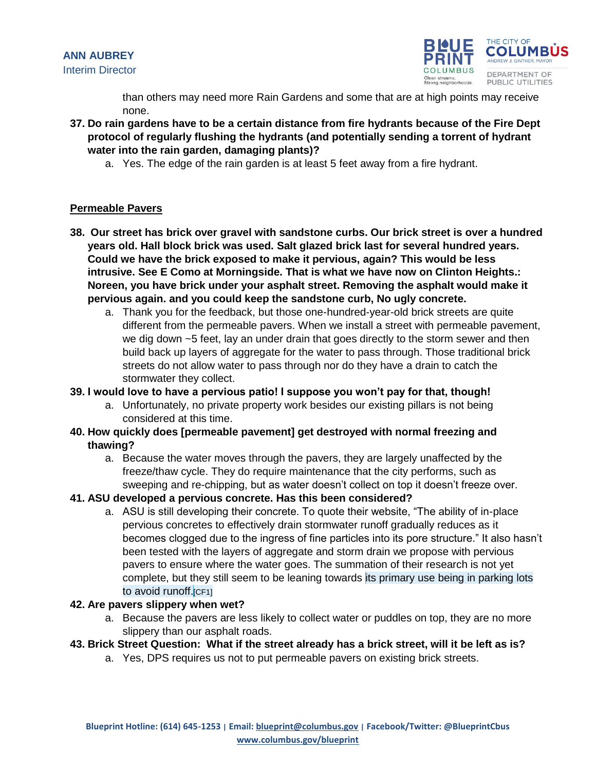

than others may need more Rain Gardens and some that are at high points may receive none.

- **37. Do rain gardens have to be a certain distance from fire hydrants because of the Fire Dept protocol of regularly flushing the hydrants (and potentially sending a torrent of hydrant water into the rain garden, damaging plants)?**
	- a. Yes. The edge of the rain garden is at least 5 feet away from a fire hydrant.

### **Permeable Pavers**

- **38. Our street has brick over gravel with sandstone curbs. Our brick street is over a hundred years old. Hall block brick was used. Salt glazed brick last for several hundred years. Could we have the brick exposed to make it pervious, again? This would be less intrusive. See E Como at Morningside. That is what we have now on Clinton Heights.: Noreen, you have brick under your asphalt street. Removing the asphalt would make it pervious again. and you could keep the sandstone curb, No ugly concrete.**
	- a. Thank you for the feedback, but those one-hundred-year-old brick streets are quite different from the permeable pavers. When we install a street with permeable pavement, we dig down ~5 feet, lay an under drain that goes directly to the storm sewer and then build back up layers of aggregate for the water to pass through. Those traditional brick streets do not allow water to pass through nor do they have a drain to catch the stormwater they collect.

#### **39. I would love to have a pervious patio! I suppose you won't pay for that, though!**

- a. Unfortunately, no private property work besides our existing pillars is not being considered at this time.
- **40. How quickly does [permeable pavement] get destroyed with normal freezing and thawing?**
	- a. Because the water moves through the pavers, they are largely unaffected by the freeze/thaw cycle. They do require maintenance that the city performs, such as sweeping and re-chipping, but as water doesn't collect on top it doesn't freeze over.
- **41. ASU developed a pervious concrete. Has this been considered?**
	- a. ASU is still developing their concrete. To quote their website, "The ability of in-place pervious concretes to effectively drain stormwater runoff gradually reduces as it becomes clogged due to the ingress of fine particles into its pore structure." It also hasn't been tested with the layers of aggregate and storm drain we propose with pervious pavers to ensure where the water goes. The summation of their research is not yet complete, but they still seem to be leaning towards its primary use being in parking lots to avoid runoff.[CF1]

### **42. Are pavers slippery when wet?**

- a. Because the pavers are less likely to collect water or puddles on top, they are no more slippery than our asphalt roads.
- **43. Brick Street Question: What if the street already has a brick street, will it be left as is?** 
	- a. Yes, DPS requires us not to put permeable pavers on existing brick streets.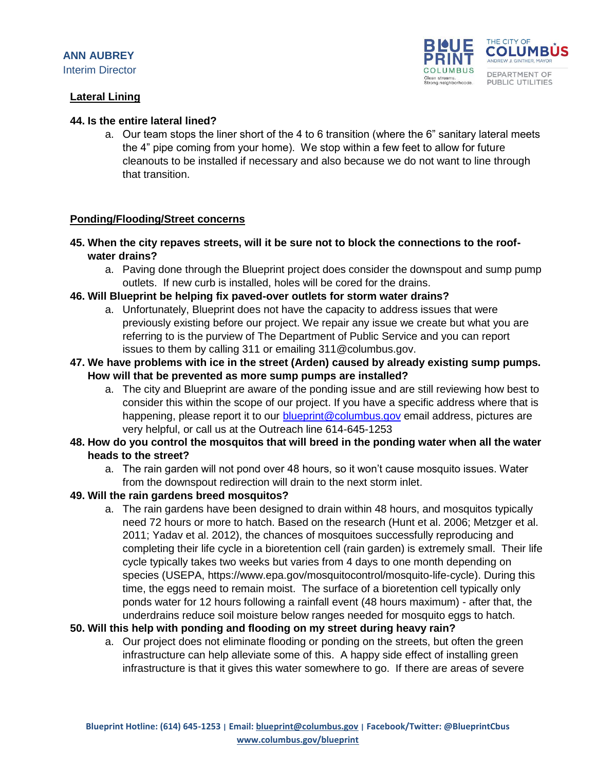#### **Lateral Lining**



#### **44. Is the entire lateral lined?**

a. Our team stops the liner short of the 4 to 6 transition (where the 6" sanitary lateral meets the 4" pipe coming from your home). We stop within a few feet to allow for future cleanouts to be installed if necessary and also because we do not want to line through that transition.

#### **Ponding/Flooding/Street concerns**

- **45. When the city repaves streets, will it be sure not to block the connections to the roofwater drains?**
	- a. Paving done through the Blueprint project does consider the downspout and sump pump outlets. If new curb is installed, holes will be cored for the drains.
- **46. Will Blueprint be helping fix paved-over outlets for storm water drains?**
	- a. Unfortunately, Blueprint does not have the capacity to address issues that were previously existing before our project. We repair any issue we create but what you are referring to is the purview of The Department of Public Service and you can report issues to them by calling 311 or emailing 311@columbus.gov.
- **47. We have problems with ice in the street (Arden) caused by already existing sump pumps. How will that be prevented as more sump pumps are installed?**
	- a. The city and Blueprint are aware of the ponding issue and are still reviewing how best to consider this within the scope of our project. If you have a specific address where that is happening, please report it to our [blueprint@columbus.gov](mailto:blueprint@columbus.gov) email address, pictures are very helpful, or call us at the Outreach line 614-645-1253
- **48. How do you control the mosquitos that will breed in the ponding water when all the water heads to the street?**
	- a. The rain garden will not pond over 48 hours, so it won't cause mosquito issues. Water from the downspout redirection will drain to the next storm inlet.

#### **49. Will the rain gardens breed mosquitos?**

a. The rain gardens have been designed to drain within 48 hours, and mosquitos typically need 72 hours or more to hatch. Based on the research (Hunt et al. 2006; Metzger et al. 2011; Yadav et al. 2012), the chances of mosquitoes successfully reproducing and completing their life cycle in a bioretention cell (rain garden) is extremely small. Their life cycle typically takes two weeks but varies from 4 days to one month depending on species (USEPA, https://www.epa.gov/mosquitocontrol/mosquito-life-cycle). During this time, the eggs need to remain moist. The surface of a bioretention cell typically only ponds water for 12 hours following a rainfall event (48 hours maximum) - after that, the underdrains reduce soil moisture below ranges needed for mosquito eggs to hatch.

#### **50. Will this help with ponding and flooding on my street during heavy rain?**

a. Our project does not eliminate flooding or ponding on the streets, but often the green infrastructure can help alleviate some of this. A happy side effect of installing green infrastructure is that it gives this water somewhere to go. If there are areas of severe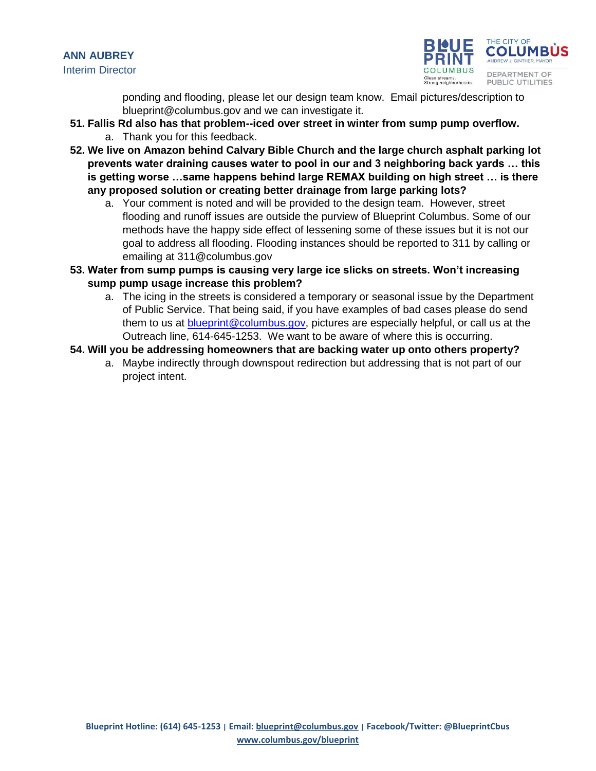# **ANN AUBREY** Interim Director



ponding and flooding, please let our design team know. Email pictures/description to blueprint@columbus.gov and we can investigate it.

- **51. Fallis Rd also has that problem--iced over street in winter from sump pump overflow.** a. Thank you for this feedback.
- **52. We live on Amazon behind Calvary Bible Church and the large church asphalt parking lot prevents water draining causes water to pool in our and 3 neighboring back yards … this is getting worse …same happens behind large REMAX building on high street … is there any proposed solution or creating better drainage from large parking lots?**
	- a. Your comment is noted and will be provided to the design team. However, street flooding and runoff issues are outside the purview of Blueprint Columbus. Some of our methods have the happy side effect of lessening some of these issues but it is not our goal to address all flooding. Flooding instances should be reported to 311 by calling or emailing at 311@columbus.gov
- **53. Water from sump pumps is causing very large ice slicks on streets. Won't increasing sump pump usage increase this problem?**
	- a. The icing in the streets is considered a temporary or seasonal issue by the Department of Public Service. That being said, if you have examples of bad cases please do send them to us at [blueprint@columbus.gov,](mailto:blueprint@columbus.gov) pictures are especially helpful, or call us at the Outreach line, 614-645-1253. We want to be aware of where this is occurring.
- **54. Will you be addressing homeowners that are backing water up onto others property?**
	- a. Maybe indirectly through downspout redirection but addressing that is not part of our project intent.